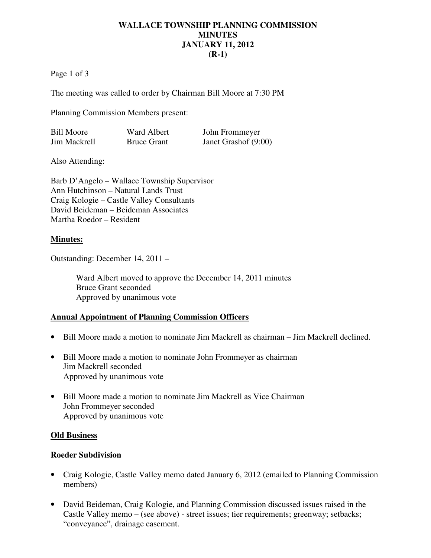### **WALLACE TOWNSHIP PLANNING COMMISSION MINUTES JANUARY 11, 2012 (R-1)**

Page 1 of 3

The meeting was called to order by Chairman Bill Moore at 7:30 PM

Planning Commission Members present:

| <b>Bill Moore</b> | <b>Ward Albert</b> | John Frommeyer       |
|-------------------|--------------------|----------------------|
| Jim Mackrell      | <b>Bruce Grant</b> | Janet Grashof (9:00) |

Also Attending:

Barb D'Angelo – Wallace Township Supervisor Ann Hutchinson – Natural Lands Trust Craig Kologie – Castle Valley Consultants David Beideman – Beideman Associates Martha Roedor – Resident

#### **Minutes:**

Outstanding: December 14, 2011 –

Ward Albert moved to approve the December 14, 2011 minutes Bruce Grant seconded Approved by unanimous vote

#### **Annual Appointment of Planning Commission Officers**

- Bill Moore made a motion to nominate Jim Mackrell as chairman Jim Mackrell declined.
- Bill Moore made a motion to nominate John Frommeyer as chairman Jim Mackrell seconded Approved by unanimous vote
- Bill Moore made a motion to nominate Jim Mackrell as Vice Chairman John Frommeyer seconded Approved by unanimous vote

#### **Old Business**

#### **Roeder Subdivision**

- Craig Kologie, Castle Valley memo dated January 6, 2012 (emailed to Planning Commission members)
- David Beideman, Craig Kologie, and Planning Commission discussed issues raised in the Castle Valley memo – (see above) - street issues; tier requirements; greenway; setbacks; "conveyance", drainage easement.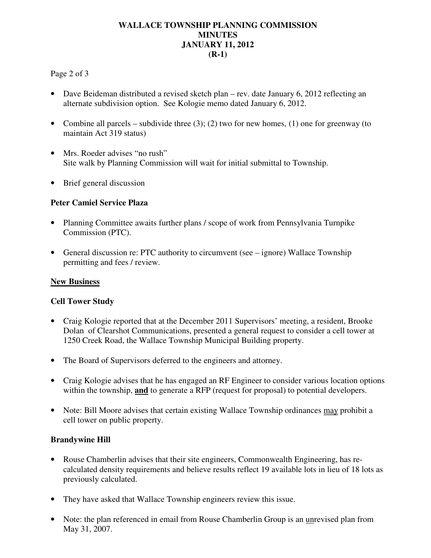# **WALLACE TOWNSHIP PLANNING COMMISSION MINUTES JANUARY 11, 2012 (R-1)**

## Page 2 of 3

- Dave Beideman distributed a revised sketch plan rev. date January 6, 2012 reflecting an alternate subdivision option. See Kologie memo dated January 6, 2012.
- Combine all parcels subdivide three  $(3)$ ;  $(2)$  two for new homes,  $(1)$  one for greenway (to maintain Act 319 status)
- Mrs. Roeder advises "no rush" Site walk by Planning Commission will wait for initial submittal to Township.
- Brief general discussion

## **Peter Camiel Service Plaza**

- Planning Committee awaits further plans / scope of work from Pennsylvania Turnpike Commission (PTC).
- General discussion re: PTC authority to circumvent (see ignore) Wallace Township permitting and fees / review.

#### **New Business**

# **Cell Tower Study**

- Craig Kologie reported that at the December 2011 Supervisors' meeting, a resident, Brooke Dolan of Clearshot Communications, presented a general request to consider a cell tower at 1250 Creek Road, the Wallace Township Municipal Building property.
- The Board of Supervisors deferred to the engineers and attorney.
- Craig Kologie advises that he has engaged an RF Engineer to consider various location options within the township, **and** to generate a RFP (request for proposal) to potential developers.
- Note: Bill Moore advises that certain existing Wallace Township ordinances may prohibit a cell tower on public property.

# **Brandywine Hill**

- Rouse Chamberlin advises that their site engineers, Commonwealth Engineering, has recalculated density requirements and believe results reflect 19 available lots in lieu of 18 lots as previously calculated.
- They have asked that Wallace Township engineers review this issue.
- Note: the plan referenced in email from Rouse Chamberlin Group is an unrevised plan from May 31, 2007.